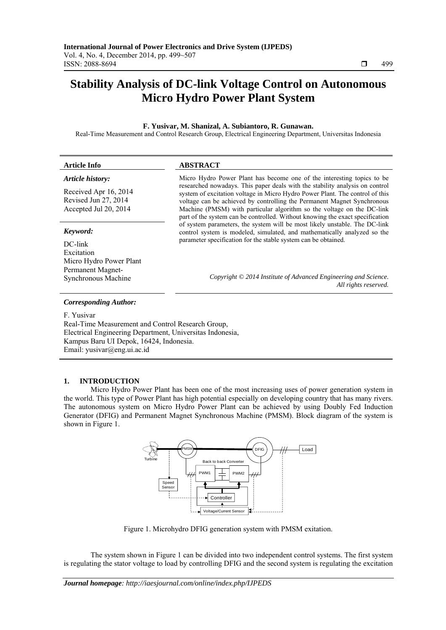# **Stability Analysis of DC-link Voltage Control on Autonomous Micro Hydro Power Plant System**

# **F. Yusivar, M. Shanizal, A. Subiantoro, R. Gunawan.**

Real-Time Measurement and Control Research Group, Electrical Engineering Department, Universitas Indonesia

| <b>Article Info</b>                                                    | <b>ABSTRACT</b>                                                                                                                                                                                                                                                                                                                                                                                    |
|------------------------------------------------------------------------|----------------------------------------------------------------------------------------------------------------------------------------------------------------------------------------------------------------------------------------------------------------------------------------------------------------------------------------------------------------------------------------------------|
| Article history:                                                       | Micro Hydro Power Plant has become one of the interesting topics to be                                                                                                                                                                                                                                                                                                                             |
| Received Apr 16, 2014<br>Revised Jun 27, 2014<br>Accepted Jul 20, 2014 | researched nowadays. This paper deals with the stability analysis on control<br>system of excitation voltage in Micro Hydro Power Plant. The control of this<br>voltage can be achieved by controlling the Permanent Magnet Synchronous<br>Machine (PMSM) with particular algorithm so the voltage on the DC-link<br>part of the system can be controlled. Without knowing the exact specification |
| Keyword:                                                               | of system parameters, the system will be most likely unstable. The DC-link<br>control system is modeled, simulated, and mathematically analyzed so the                                                                                                                                                                                                                                             |
| DC-link                                                                | parameter specification for the stable system can be obtained.                                                                                                                                                                                                                                                                                                                                     |
| Excitation                                                             |                                                                                                                                                                                                                                                                                                                                                                                                    |
| Micro Hydro Power Plant                                                |                                                                                                                                                                                                                                                                                                                                                                                                    |
| Permanent Magnet-                                                      |                                                                                                                                                                                                                                                                                                                                                                                                    |
| <b>Synchronous Machine</b>                                             | Copyright © 2014 Institute of Advanced Engineering and Science.<br>All rights reserved.                                                                                                                                                                                                                                                                                                            |

## *Corresponding Author:*

F. Yusivar

Real-Time Measurement and Control Research Group, Electrical Engineering Department, Universitas Indonesia, Kampus Baru UI Depok, 16424, Indonesia. Email: yusivar@eng.ui.ac.id

# **1. INTRODUCTION**

Micro Hydro Power Plant has been one of the most increasing uses of power generation system in the world. This type of Power Plant has high potential especially on developing country that has many rivers. The autonomous system on Micro Hydro Power Plant can be achieved by using Doubly Fed Induction Generator (DFIG) and Permanent Magnet Synchronous Machine (PMSM). Block diagram of the system is shown in Figure 1.



Figure 1. Microhydro DFIG generation system with PMSM exitation.

The system shown in Figure 1 can be divided into two independent control systems. The first system is regulating the stator voltage to load by controlling DFIG and the second system is regulating the excitation

ֺֺ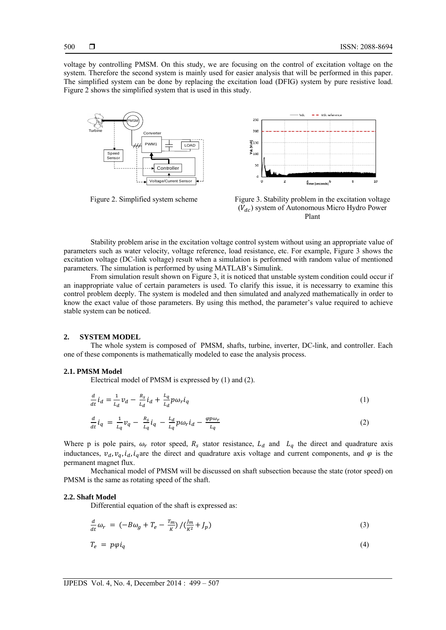voltage by controlling PMSM. On this study, we are focusing on the control of excitation voltage on the system. Therefore the second system is mainly used for easier analysis that will be performed in this paper. The simplified system can be done by replacing the excitation load (DFIG) system by pure resistive load. Figure 2 shows the simplified system that is used in this study.





Figure 2. Simplified system scheme Figure 3. Stability problem in the excitation voltage  $(V_{dc})$  system of Autonomous Micro Hydro Power Plant

Stability problem arise in the excitation voltage control system without using an appropriate value of parameters such as water velocity, voltage reference, load resistance, etc. For example, Figure 3 shows the excitation voltage (DC-link voltage) result when a simulation is performed with random value of mentioned parameters. The simulation is performed by using MATLAB's Simulink.

From simulation result shown on Figure 3, it is noticed that unstable system condition could occur if an inappropriate value of certain parameters is used. To clarify this issue, it is necessarry to examine this control problem deeply. The system is modeled and then simulated and analyzed mathematically in order to know the exact value of those parameters. By using this method, the parameter's value required to achieve stable system can be noticed.

## **2. SYSTEM MODEL**

The whole system is composed of PMSM, shafts, turbine, inverter, DC-link, and controller. Each one of these components is mathematically modeled to ease the analysis process.

## **2.1. PMSM Model**

Electrical model of PMSM is expressed by (1) and (2).

$$
\frac{d}{dt}\dot{t}_d = \frac{1}{L_d}v_d - \frac{R_s}{L_d}\dot{t}_d + \frac{L_q}{L_d}p\omega_r\dot{t}_q
$$
\n<sup>(1)</sup>

$$
\frac{d}{dt}\dot{t}_q = \frac{1}{L_q}v_q - \frac{R_s}{L_q}\dot{t}_q - \frac{L_d}{L_q}p\omega_r\dot{t}_d - \frac{\varphi p\omega_r}{L_q} \tag{2}
$$

Where p is pole pairs,  $\omega_r$  rotor speed,  $R_s$  stator resistance,  $L_d$  and  $L_g$  the direct and quadrature axis inductances,  $v_d$ ,  $v_q$ ,  $i_d$ ,  $i_q$  are the direct and quadrature axis voltage and current components, and  $\varphi$  is the permanent magnet flux.

Mechanical model of PMSM will be discussed on shaft subsection because the state (rotor speed) on PMSM is the same as rotating speed of the shaft.

#### **2.2. Shaft Model**

Differential equation of the shaft is expressed as:

$$
\frac{d}{dt}\omega_r = \left(-B\omega_g + T_e - \frac{T_m}{K}\right) / \left(\frac{J_m}{K^2} + J_p\right) \tag{3}
$$

$$
T_e = p\varphi i_q \tag{4}
$$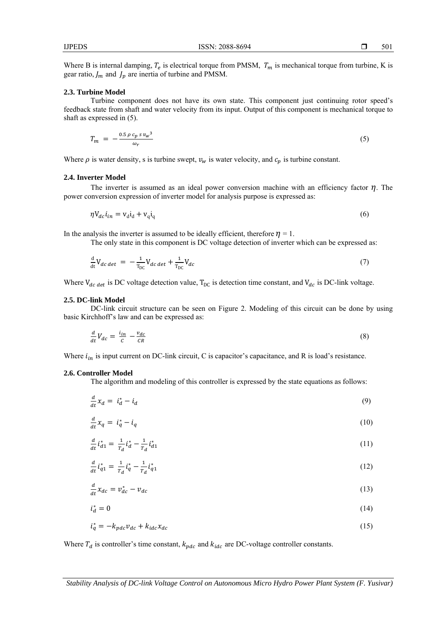501

Where B is internal damping,  $T_e$  is electrical torque from PMSM,  $T_m$  is mechanical torque from turbine, K is gear ratio,  $J_m$  and  $J_p$  are inertia of turbine and PMSM.

#### **2.3. Turbine Model**

Turbine component does not have its own state. This component just continuing rotor speed's feedback state from shaft and water velocity from its input. Output of this component is mechanical torque to shaft as expressed in (5).

$$
T_m = -\frac{0.5 \,\rho \,c_p \,s \,v_w^3}{\omega_r} \tag{5}
$$

Where  $\rho$  is water density, s is turbine swept,  $v_w$  is water velocity, and  $c_p$  is turbine constant.

#### **2.4. Inverter Model**

The inverter is assumed as an ideal power conversion machine with an efficiency factor  $\eta$ . The power conversion expression of inverter model for analysis purpose is expressed as:

$$
\eta V_{dc} i_{in} = V_d i_d + V_q i_q \tag{6}
$$

In the analysis the inverter is assumed to be ideally efficient, therefore  $\eta = 1$ .

The only state in this component is DC voltage detection of inverter which can be expressed as:

$$
\frac{d}{dt}V_{dc\,det} = -\frac{1}{T_{DC}}V_{dc\,det} + \frac{1}{T_{DC}}V_{dc} \tag{7}
$$

Where  $V_{dc, det}$  is DC voltage detection value,  $T_{DC}$  is detection time constant, and  $V_{dc}$  is DC-link voltage.

#### **2.5. DC-link Model**

DC-link circuit structure can be seen on Figure 2. Modeling of this circuit can be done by using basic Kirchhoff's law and can be expressed as:

$$
\frac{d}{dt}V_{dc} = \frac{i_{in}}{c} - \frac{v_{dc}}{CR} \tag{8}
$$

Where  $i_{in}$  is input current on DC-link circuit, C is capacitor's capacitance, and R is load's resistance.

#### **2.6. Controller Model**

The algorithm and modeling of this controller is expressed by the state equations as follows:

$$
\frac{d}{dt}x_d = i_d^* - i_d \tag{9}
$$

$$
\frac{d}{dt}x_q = i_q^* - i_q \tag{10}
$$

$$
\frac{d}{dt}\dot{t}_{d1}^* = \frac{1}{T_d}\dot{t}_d^* - \frac{1}{T_d}\dot{t}_{d1}^* \tag{11}
$$

$$
\frac{d}{dt}\dot{t}_{q1}^* = \frac{1}{T_d}\dot{t}_q^* - \frac{1}{T_d}\dot{t}_{q1}^*
$$
\n(12)

$$
\frac{d}{dt}x_{dc} = v_{dc}^* - v_{dc} \tag{13}
$$

$$
i_d^* = 0 \tag{14}
$$

$$
i_q^* = -k_{pdc}v_{dc} + k_{idc}x_{dc} \tag{15}
$$

Where  $T_d$  is controller's time constant,  $k_{pdc}$  and  $k_{idc}$  are DC-voltage controller constants.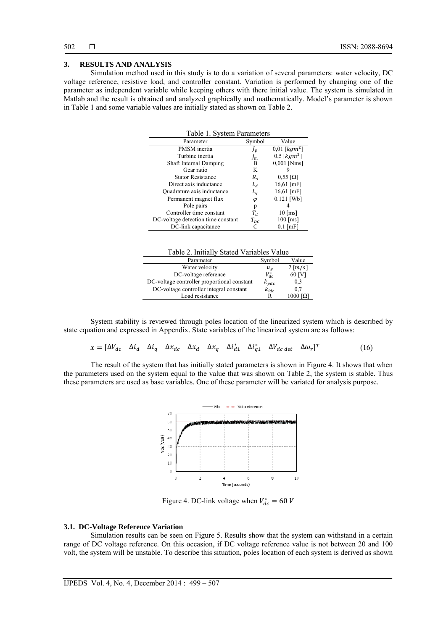## **3. RESULTS AND ANALYSIS**

Simulation method used in this study is to do a variation of several parameters: water velocity, DC voltage reference, resistive load, and controller constant. Variation is performed by changing one of the parameter as independent variable while keeping others with there initial value. The system is simulated in Matlab and the result is obtained and analyzed graphically and mathematically. Model's parameter is shown in Table 1 and some variable values are initially stated as shown on Table 2.

| Table 1. System Parameters         |             |                     |  |  |
|------------------------------------|-------------|---------------------|--|--|
| Parameter                          | Symbol      | Value               |  |  |
| PMSM inertia                       | $J_{\bm p}$ | $0.01$ [ $kgm2$ ]   |  |  |
| Turbine inertia                    | $J_m$       | $0,5$ [ $kgm2$ ]    |  |  |
| <b>Shaft Internal Damping</b>      | В           | $0,001$ [Nms]       |  |  |
| Gear ratio                         | K           |                     |  |  |
| <b>Stator Resistance</b>           | $R_{\rm s}$ | $0,55$ [ $\Omega$ ] |  |  |
| Direct axis inductance             | $L_d$       | $16,61$ [mF]        |  |  |
| Quadrature axis inductance         | $L_a$       | $16,61$ [mF]        |  |  |
| Permanent magnet flux              | φ           | $0.121$ [Wb]        |  |  |
| Pole pairs                         | p           |                     |  |  |
| Controller time constant           | $T_d$       | $10$ [ms]           |  |  |
| DC-voltage detection time constant | $T_{DC}$    | $100$ [ms]          |  |  |
| DC-link capacitance                | C           | $0.1$ [mF]          |  |  |

| Parameter                                   | Symbol     | Value                        |
|---------------------------------------------|------------|------------------------------|
| Water velocity                              | $v_w$      | $2 \lfloor m/s \rfloor$      |
| DC-voltage reference                        | $V_{dc}^*$ | 60 [V]                       |
| DC-voltage controller proportional constant | $k_{pdc}$  | 0,3                          |
| DC-voltage controller integral constant     | $k_{idc}$  | 0,7                          |
| Load resistance                             | R          | $1000$ $\Omega$ <sub>1</sub> |

System stability is reviewed through poles location of the linearized system which is described by state equation and expressed in Appendix. State variables of the linearized system are as follows:

 $x = [\Delta V_{dc} \quad \Delta i_d \quad \Delta i_q \quad \Delta x_{dc} \quad \Delta x_d \quad \Delta x_q \quad \Delta i_{d1}^* \quad \Delta i_{q1}^* \quad \Delta V_{dc \, det} \quad \Delta \omega_r]^T$  (16)

The result of the system that has initially stated parameters is shown in Figure 4. It shows that when the parameters used on the system equal to the value that was shown on Table 2, the system is stable. Thus these parameters are used as base variables. One of these parameter will be variated for analysis purpose.



Figure 4. DC-link voltage when  $V_{dc}^* = 60$  V

## **3.1. DC-Voltage Reference Variation**

Simulation results can be seen on Figure 5. Results show that the system can withstand in a certain range of DC voltage reference. On this occasion, if DC voltage reference value is not between 20 and 100 volt, the system will be unstable. To describe this situation, poles location of each system is derived as shown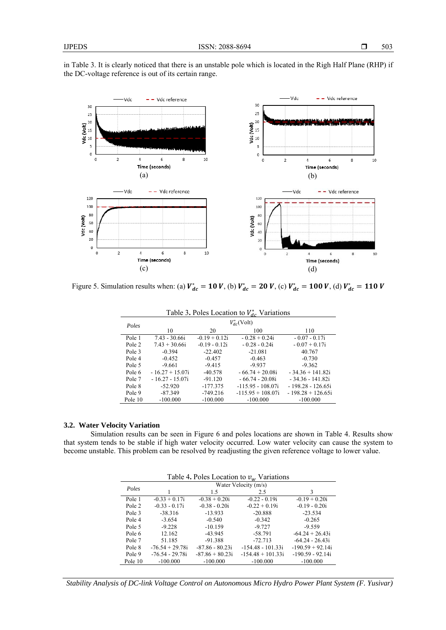in Table 3. It is clearly noticed that there is an unstable pole which is located in the Righ Half Plane (RHP) if the DC-voltage reference is out of its certain range.



Figure 5. Simulation results when: (a)  $V_{dc}^* = 10 V$ , (b)  $V_{dc}^* = 20 V$ , (c)  $V_{dc}^* = 100 V$ , (d)  $V_{dc}^* = 110 V$ 

| racio se i onos Econtroli to $r_{\text{dc}}$ variations |                   |                 |                      |                      |
|---------------------------------------------------------|-------------------|-----------------|----------------------|----------------------|
| Poles                                                   | $V_{dc}^*$ (Volt) |                 |                      |                      |
|                                                         | 10                | 20              | 100                  | 110                  |
| Pole 1                                                  | 7.43 - 30.66i     | $-0.19 + 0.12i$ | $-0.28 + 0.24i$      | $-0.07 - 0.17i$      |
| Pole 2                                                  | $7.43 + 30.66i$   | $-0.19 - 0.12i$ | $-0.28 - 0.24i$      | $-0.07 + 0.17i$      |
| Pole 3                                                  | $-0.394$          | $-22.402$       | $-21.081$            | 40.767               |
| Pole 4                                                  | $-0.452$          | $-0.457$        | $-0.463$             | $-0.730$             |
| Pole 5                                                  | $-9.661$          | $-9.415$        | $-9.937$             | $-9.362$             |
| Pole 6                                                  | $-16.27 + 15.07i$ | $-40.578$       | $-66.74 + 20.08i$    | $-34.36 + 141.82i$   |
| Pole 7                                                  | $-16.27 - 15.07i$ | $-91.120$       | $-66.74 - 20.08i$    | - 34.36 - 141.82i    |
| Pole 8                                                  | $-52.920$         | $-177.375$      | $-115.95 - 108.07$ i | $-198.28 - 126.65$ i |
| Pole 9                                                  | $-87.349$         | $-749.216$      | $-115.95 + 108.07$ i | $-198.28 + 126.65$ i |
| Pole 10                                                 | $-100.000$        | $-100.000$      | $-100,000$           | $-100.000$           |

Table 3. Poles Location to  $V_{dc}^*$  Variations

# **3.2. Water Velocity Variation**

Simulation results can be seen in Figure 6 and poles locations are shown in Table 4. Results show that system tends to be stable if high water velocity occurred. Low water velocity can cause the system to become unstable. This problem can be resolved by readjusting the given reference voltage to lower value.

| Table 4. Poles Location to $v_w$ Variations |                   |                      |                     |                    |
|---------------------------------------------|-------------------|----------------------|---------------------|--------------------|
| Poles                                       |                   | Water Velocity (m/s) |                     |                    |
|                                             |                   | 1.5                  | 2.5                 | 3                  |
| Pole 1                                      | $-0.33 + 0.17i$   | $-0.38 + 0.20i$      | $-0.22 - 0.19i$     | $-0.19 + 0.20i$    |
| Pole 2                                      | $-0.33 - 0.17i$   | $-0.38 - 0.20i$      | $-0.22 + 0.19$ i    | $-0.19 - 0.20i$    |
| Pole 3                                      | $-38.316$         | $-13.933$            | $-20.888$           | $-23.534$          |
| Pole 4                                      | $-3.654$          | $-0.540$             | $-0.342$            | $-0.265$           |
| Pole 5                                      | $-9.228$          | $-10.159$            | $-9.727$            | $-9.559$           |
| Pole 6                                      | 12.162            | $-43.945$            | $-58.791$           | $-64.24 + 26.43i$  |
| Pole 7                                      | 51.185            | $-91.388$            | $-72.713$           | $-64.24 - 26.43i$  |
| Pole 8                                      | $-76.54 + 29.78i$ | $-87.86 - 80.23i$    | $-154.48 - 101.33i$ | $-190.59 + 92.14i$ |
| Pole 9                                      | $-76.54 - 29.78i$ | $-87.86 + 80.23i$    | $-154.48 + 101.33i$ | $-190.59 - 92.14i$ |
| Pole 10                                     | $-100.000$        | $-100.000$           | $-100.000$          | $-100.000$         |

*Stability Analysis of DC-link Voltage Control on Autonomous Micro Hydro Power Plant System (F. Yusivar)*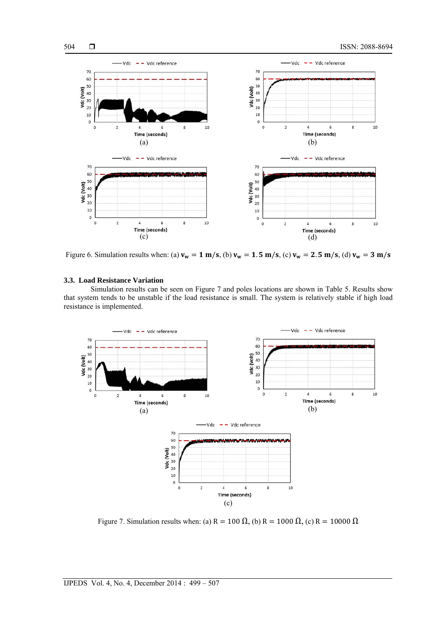

Figure 6. Simulation results when: (a)  $v_w = 1$  m/s, (b)  $v_w = 1.5$  m/s, (c)  $v_w = 2.5$  m/s, (d)  $v_w = 3$  m/s

#### **3.3. Load Resistance Variation**

Simulation results can be seen on Figure 7 and poles locations are shown in Table 5. Results show that system tends to be unstable if the load resistance is small. The system is relatively stable if high load resistance is implemented.



Figure 7. Simulation results when: (a) R = 100  $\Omega$ , (b) R = 1000  $\Omega$ , (c) R = 10000  $\Omega$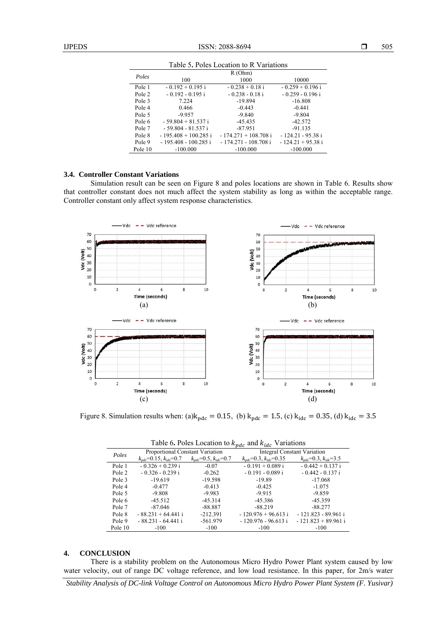| Tuble 3.1 0109 Equation to IX Turnitions |                        |                        |                    |  |  |
|------------------------------------------|------------------------|------------------------|--------------------|--|--|
| Poles                                    | R(Ohm)                 |                        |                    |  |  |
|                                          | 100                    | 1000                   | 10000              |  |  |
| Pole 1                                   | $-0.192 + 0.195$ i     | $-0.238 + 0.18i$       | $-0.259 + 0.196$ i |  |  |
| Pole 2                                   | $-0.192 - 0.195$ i     | $-0.238 - 0.18i$       | $-0.259 - 0.196i$  |  |  |
| Pole 3                                   | 7.224                  | $-19.894$              | $-16.808$          |  |  |
| Pole 4                                   | 0.466                  | $-0.443$               | $-0.441$           |  |  |
| Pole 5                                   | $-9.957$               | $-9.840$               | $-9.804$           |  |  |
| Pole 6                                   | $-59.804 + 81.537$ i   | $-45.435$              | $-42.572$          |  |  |
| Pole 7                                   | $-59.804 - 81.537$ i   | $-87.951$              | $-91.135$          |  |  |
| Pole 8                                   | $-195.408 + 100.285$ i | $-174.271 + 108.708$ i | - 124.21 - 95.38 i |  |  |
| Pole 9                                   | - 195.408 - 100.285 i  | $-174.271 - 108.708$ i | $-124.21 + 95.38i$ |  |  |
| Pole 10                                  | $-100.000$             | $-100.000$             | $-100.000$         |  |  |

Table 5**.** Poles Location to R Variations

# **3.4. Controller Constant Variations**

Simulation result can be seen on Figure 8 and poles locations are shown in Table 6. Results show that controller constant does not much affect the system stability as long as within the acceptable range. Controller constant only affect system response characteristics.



Figure 8. Simulation results when: (a) $k_{pdc} = 0.15$ , (b)  $k_{pdc} = 1.5$ , (c)  $k_{idc} = 0.35$ , (d)  $k_{idc} = 3.5$ 

| Table 6. Poles Location to $k_{pdc}$ and $k_{idc}$ Variations |  |  |
|---------------------------------------------------------------|--|--|
|---------------------------------------------------------------|--|--|

|         | $\sim$ $\sim$                      |                                              |                                                  |                                                 |
|---------|------------------------------------|----------------------------------------------|--------------------------------------------------|-------------------------------------------------|
| Poles   | Proportional Constant Variation    |                                              | <b>Integral Constant Variation</b>               |                                                 |
|         | $k_{ndc} = 0.15$ , $k_{idc} = 0.7$ | $k_{\text{ndc}} = 0.5, k_{\text{idc}} = 0.7$ | $k_{\text{pdc}} = 0.3$ , $k_{\text{ide}} = 0.35$ | $k_{\text{pdc}} = 0.3$ , $k_{\text{ide}} = 3.5$ |
| Pole 1  | $-0.326 + 0.239i$                  | $-0.07$                                      | $-0.191 + 0.089$ i                               | $-0.442 + 0.137$ i                              |
| Pole 2  | $-0.326 - 0.239i$                  | $-0.262$                                     | $-0.191 - 0.089$ i                               | $-0.442 - 0.137i$                               |
| Pole 3  | $-19.619$                          | $-19.598$                                    | $-19.89$                                         | $-17.068$                                       |
| Pole 4  | $-0.477$                           | $-0.413$                                     | $-0.425$                                         | $-1.075$                                        |
| Pole 5  | $-9.808$                           | $-9.983$                                     | $-9.915$                                         | $-9.859$                                        |
| Pole 6  | $-45.512$                          | $-45.314$                                    | $-45.386$                                        | $-45.359$                                       |
| Pole 7  | $-87.046$                          | $-88.887$                                    | $-88.219$                                        | $-88.277$                                       |
| Pole 8  | $-88.231 + 64.441i$                | $-212.391$                                   | $-120.976 + 96.613$ i                            | - 121.823 - 89.961 i                            |
| Pole 9  | $-88.231 - 64.441i$                | $-561.979$                                   | $-120.976 - 96.613i$                             | $-121.823 + 89.961$ i                           |
| Pole 10 | $-100$                             | $-100$                                       | $-100$                                           | $-100$                                          |

## **4. CONCLUSION**

There is a stability problem on the Autonomous Micro Hydro Power Plant system caused by low water velocity, out of range DC voltage reference, and low load resistance. In this paper, for 2m/s water

*Stability Analysis of DC-link Voltage Control on Autonomous Micro Hydro Power Plant System (F. Yusivar)*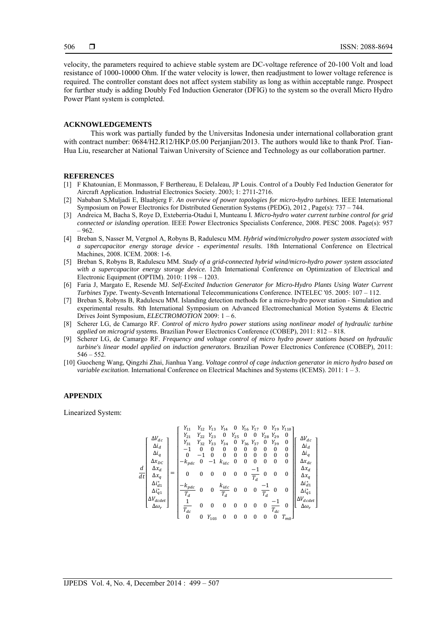velocity, the parameters required to achieve stable system are DC-voltage reference of 20-100 Volt and load resistance of 1000-10000 Ohm. If the water velocity is lower, then readjustment to lower voltage reference is required. The controller constant does not affect system stability as long as within acceptable range. Prospect for further study is adding Doubly Fed Induction Generator (DFIG) to the system so the overall Micro Hydro Power Plant system is completed.

#### **ACKNOWLEDGEMENTS**

This work was partially funded by the Universitas Indonesia under international collaboration grant with contract number:  $0684/H2.R12/HKP.05.00 Perjanjian/2013$ . The authors would like to thank Prof. Tian-Hua Liu, researcher at National Taiwan University of Science and Technology as our collaboration partner.

## **REFERENCES**

- [1] F Khatounian, E Monmasson, F Berthereau, E Delaleau, JP Louis. Control of a Doubly Fed Induction Generator for Aircraft Application. Industrial Electronics Society. 2003; 1: 2711-2716.
- [2] Nababan S,Muljadi E, Blaabjerg F. *An overview of power topologies for micro-hydro turbines.* IEEE International Symposium on Power Electronics for Distributed Generation Systems (PEDG), 2012 , Page(s): 737 – 744.
- [3] Andreica M, Bacha S, Roye D, Exteberria-Otadui I, Munteanu I*. Micro-hydro water current turbine control for grid connected or islanding operation*. IEEE Power Electronics Specialists Conference, 2008. PESC 2008. Page(s): 957 – 962.
- [4] Breban S, Nasser M, Vergnol A, Robyns B, Radulescu MM. *Hybrid wind/microhydro power system associated with a supercapacitor energy storage device - experimental results*. 18th International Conference on Electrical Machines, 2008. ICEM. 2008: 1-6.
- [5] Breban S, Robyns B, Radulescu MM. *Study of a grid-connected hybrid wind/micro-hydro power system associated with a supercapacitor energy storage device.* 12th International Conference on Optimization of Electrical and Electronic Equipment (OPTIM). 2010: 1198 – 1203.
- [6] Faria J, Margato E, Resende MJ. *Self-Excited Induction Generator for Micro-Hydro Plants Using Water Current Turbines Type.* Twenty-Seventh International Telecommunications Conference. INTELEC '05. 2005: 107 – 112.
- [7] Breban S, Robyns B, Radulescu MM. Islanding detection methods for a micro-hydro power station Simulation and experimental results. 8th International Symposium on Advanced Electromechanical Motion Systems & Electric Drives Joint Symposium, *ELECTROMOTION* 2009: 1 – 6.
- [8] Scherer LG, de Camargo RF. *Control of micro hydro power stations using nonlinear model of hydraulic turbine applied on microgrid systems.* Brazilian Power Electronics Conference (COBEP), 2011: 812 – 818.
- [9] Scherer LG, de Camargo RF. *Frequency and voltage control of micro hydro power stations based on hydraulic turbine's linear model applied on induction generators.* Brazilian Power Electronics Conference (COBEP), 2011:  $546 - 552$
- [10] Guocheng Wang, Qingzhi Zhai, Jianhua Yang. *Voltage control of cage induction generator in micro hydro based on variable excitation*. International Conference on Electrical Machines and Systems (ICEMS). 2011: 1 – 3.

### **APPENDIX**

Linearized System:

$$
\frac{d}{dt}\begin{bmatrix} \Delta V_{dc} \\ \Delta i_d \\ \Delta i_q \\ \Delta x_{DC} \\ \Delta x_{d} \\ \Delta i_{\tilde{q}1} \\ \Delta i_{\tilde{q}1} \\ \Delta i_{\tilde{q}1} \\ \Delta i_{\tilde{q}1} \\ \Delta i_{\tilde{q}1} \\ \Delta i_{\tilde{q}1} \\ \Delta i_{\tilde{q}1} \\ \Delta i_{\tilde{q}1} \\ \Delta i_{\tilde{q}1} \\ \Delta i_{\tilde{q}2} \\ \Delta i_{\tilde{q}2} \\ \Delta i_{\tilde{q}1} \\ \Delta i_{\tilde{q}2} \\ \Delta i_{\tilde{q}1} \\ \Delta i_{\tilde{q}1} \\ \Delta i_{\tilde{q}2} \\ \Delta i_{\tilde{q}2} \\ \Delta i_{\tilde{q}1} \\ \Delta i_{\tilde{q}2} \\ \Delta i_{\tilde{q}1} \\ \Delta i_{\tilde{q}2} \\ \Delta i_{\tilde{q}1} \\ \Delta i_{\tilde{q}1} \\ \Delta i_{\tilde{q}2} \\ \Delta i_{\tilde{q}3} \\ \Delta i_{\tilde{q}3} \\ \Delta i_{\tilde{q}3} \\ \Delta i_{\tilde{q}3} \\ \Delta i_{\tilde{q}3} \\ \Delta i_{\tilde{q}3} \\ \Delta i_{\tilde{q}3} \\ \Delta i_{\tilde{q}3} \\ \Delta i_{\tilde{q}3} \\ \Delta i_{\tilde{q}3} \\ \Delta i_{\tilde{q}3} \\ \Delta i_{\tilde{q}3} \\ \Delta i_{\tilde{q}3} \\ \Delta i_{\tilde{q}3} \\ \Delta i_{\tilde{q}3} \\ \Delta i_{\tilde{q}3} \\ \Delta i_{\tilde{q}3} \\ \Delta i_{\tilde{q}3} \\ \Delta i_{\tilde{q}3} \\ \Delta i_{\tilde{q}3} \\ \Delta i_{\tilde{q}3} \\ \Delta i_{\tilde{q}3} \\ \Delta i_{\tilde{q}3} \\ \Delta i_{\tilde{q}3} \\ \Delta i_{\tilde{q}3} \\ \Delta i_{\tilde{q}3} \\ \Delta i_{\tilde{q}3} \\ \Delta i_{\tilde{q}3} \\ \Delta i_{\tilde{q}3} \\ \Delta i_{\tilde{q}3} \\ \Delta i_{\tilde{q}3} \\ \Delta
$$